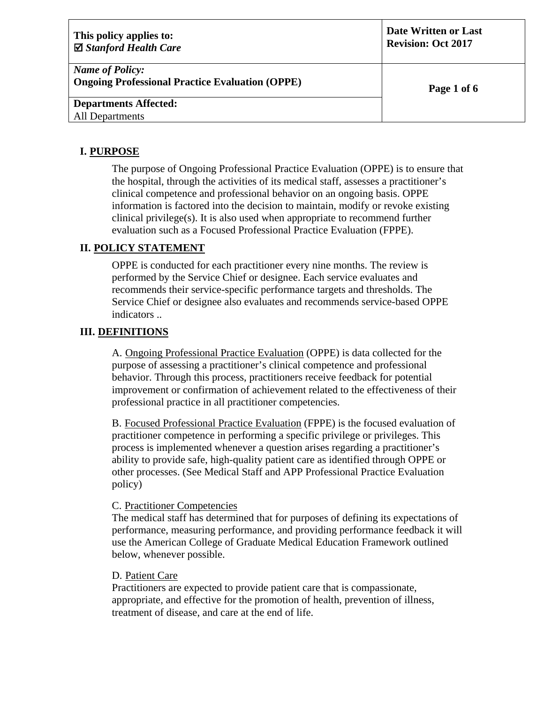| This policy applies to:<br>$\boxtimes$ Stanford Health Care                      | Date Written or Last<br><b>Revision: Oct 2017</b> |
|----------------------------------------------------------------------------------|---------------------------------------------------|
| <b>Name of Policy:</b><br><b>Ongoing Professional Practice Evaluation (OPPE)</b> | Page 1 of 6                                       |
| <b>Departments Affected:</b>                                                     |                                                   |
| <b>All Departments</b>                                                           |                                                   |

## **I. PURPOSE**

The purpose of Ongoing Professional Practice Evaluation (OPPE) is to ensure that the hospital, through the activities of its medical staff, assesses a practitioner's clinical competence and professional behavior on an ongoing basis. OPPE information is factored into the decision to maintain, modify or revoke existing clinical privilege(s). It is also used when appropriate to recommend further evaluation such as a Focused Professional Practice Evaluation (FPPE).

## **II. POLICY STATEMENT**

OPPE is conducted for each practitioner every nine months. The review is performed by the Service Chief or designee. Each service evaluates and recommends their service-specific performance targets and thresholds. The Service Chief or designee also evaluates and recommends service-based OPPE indicators ..

### **III. DEFINITIONS**

A. Ongoing Professional Practice Evaluation (OPPE) is data collected for the purpose of assessing a practitioner's clinical competence and professional behavior. Through this process, practitioners receive feedback for potential improvement or confirmation of achievement related to the effectiveness of their professional practice in all practitioner competencies.

B. Focused Professional Practice Evaluation (FPPE) is the focused evaluation of practitioner competence in performing a specific privilege or privileges. This process is implemented whenever a question arises regarding a practitioner's ability to provide safe, high-quality patient care as identified through OPPE or other processes. (See Medical Staff and APP Professional Practice Evaluation policy)

#### C. Practitioner Competencies

The medical staff has determined that for purposes of defining its expectations of performance, measuring performance, and providing performance feedback it will use the American College of Graduate Medical Education Framework outlined below, whenever possible.

#### D. Patient Care

Practitioners are expected to provide patient care that is compassionate, appropriate, and effective for the promotion of health, prevention of illness, treatment of disease, and care at the end of life.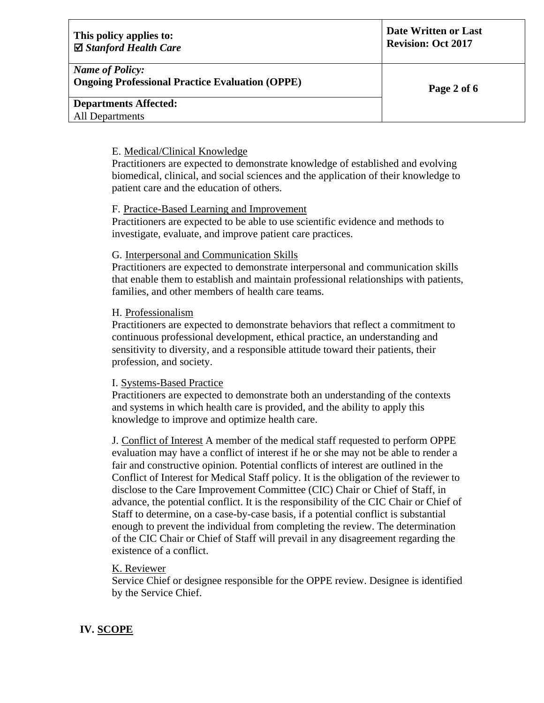| This policy applies to:<br>$\boxtimes$ Stanford Health Care                      | Date Written or Last<br><b>Revision: Oct 2017</b> |
|----------------------------------------------------------------------------------|---------------------------------------------------|
| <b>Name of Policy:</b><br><b>Ongoing Professional Practice Evaluation (OPPE)</b> | Page 2 of 6                                       |
| <b>Departments Affected:</b><br>All Departments                                  |                                                   |
|                                                                                  |                                                   |

#### E. Medical/Clinical Knowledge

Practitioners are expected to demonstrate knowledge of established and evolving biomedical, clinical, and social sciences and the application of their knowledge to patient care and the education of others.

### F. Practice-Based Learning and Improvement

Practitioners are expected to be able to use scientific evidence and methods to investigate, evaluate, and improve patient care practices.

#### G. Interpersonal and Communication Skills

Practitioners are expected to demonstrate interpersonal and communication skills that enable them to establish and maintain professional relationships with patients, families, and other members of health care teams.

#### H. Professionalism

Practitioners are expected to demonstrate behaviors that reflect a commitment to continuous professional development, ethical practice, an understanding and sensitivity to diversity, and a responsible attitude toward their patients, their profession, and society.

#### I. Systems-Based Practice

Practitioners are expected to demonstrate both an understanding of the contexts and systems in which health care is provided, and the ability to apply this knowledge to improve and optimize health care.

J. Conflict of Interest A member of the medical staff requested to perform OPPE evaluation may have a conflict of interest if he or she may not be able to render a fair and constructive opinion. Potential conflicts of interest are outlined in the Conflict of Interest for Medical Staff policy. It is the obligation of the reviewer to disclose to the Care Improvement Committee (CIC) Chair or Chief of Staff, in advance, the potential conflict. It is the responsibility of the CIC Chair or Chief of Staff to determine, on a case-by-case basis, if a potential conflict is substantial enough to prevent the individual from completing the review. The determination of the CIC Chair or Chief of Staff will prevail in any disagreement regarding the existence of a conflict.

#### K. Reviewer

Service Chief or designee responsible for the OPPE review. Designee is identified by the Service Chief.

### **IV. SCOPE**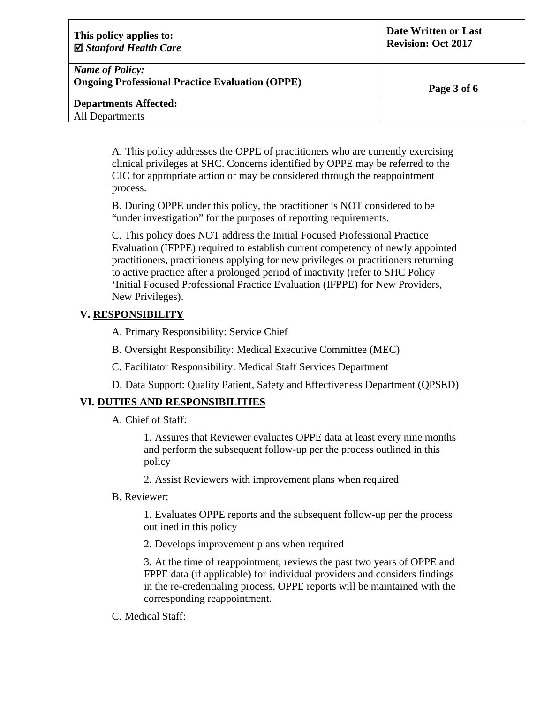| This policy applies to:<br>$\boxtimes$ Stanford Health Care                      | Date Written or Last<br><b>Revision: Oct 2017</b> |
|----------------------------------------------------------------------------------|---------------------------------------------------|
| <b>Name of Policy:</b><br><b>Ongoing Professional Practice Evaluation (OPPE)</b> | Page 3 of 6                                       |
| <b>Departments Affected:</b>                                                     |                                                   |
| <b>All Departments</b>                                                           |                                                   |

A. This policy addresses the OPPE of practitioners who are currently exercising clinical privileges at SHC. Concerns identified by OPPE may be referred to the CIC for appropriate action or may be considered through the reappointment process.

B. During OPPE under this policy, the practitioner is NOT considered to be "under investigation" for the purposes of reporting requirements.

C. This policy does NOT address the Initial Focused Professional Practice Evaluation (IFPPE) required to establish current competency of newly appointed practitioners, practitioners applying for new privileges or practitioners returning to active practice after a prolonged period of inactivity (refer to SHC Policy 'Initial Focused Professional Practice Evaluation (IFPPE) for New Providers, New Privileges).

## **V. RESPONSIBILITY**

A. Primary Responsibility: Service Chief

B. Oversight Responsibility: Medical Executive Committee (MEC)

C. Facilitator Responsibility: Medical Staff Services Department

D. Data Support: Quality Patient, Safety and Effectiveness Department (QPSED)

### **VI. DUTIES AND RESPONSIBILITIES**

A. Chief of Staff:

1. Assures that Reviewer evaluates OPPE data at least every nine months and perform the subsequent follow-up per the process outlined in this policy

2. Assist Reviewers with improvement plans when required

B. Reviewer:

1. Evaluates OPPE reports and the subsequent follow-up per the process outlined in this policy

2. Develops improvement plans when required

3. At the time of reappointment, reviews the past two years of OPPE and FPPE data (if applicable) for individual providers and considers findings in the re-credentialing process. OPPE reports will be maintained with the corresponding reappointment.

C. Medical Staff: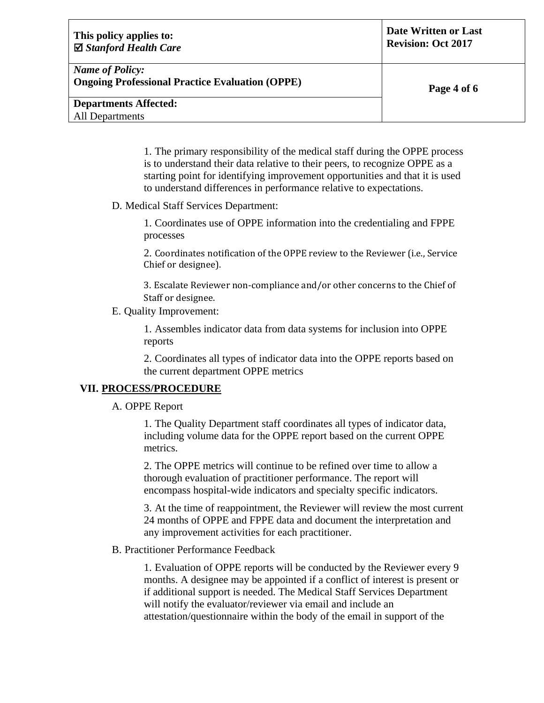| This policy applies to:<br>$\boxtimes$ Stanford Health Care                      | Date Written or Last<br><b>Revision: Oct 2017</b> |
|----------------------------------------------------------------------------------|---------------------------------------------------|
| <b>Name of Policy:</b><br><b>Ongoing Professional Practice Evaluation (OPPE)</b> | Page 4 of 6                                       |
| <b>Departments Affected:</b>                                                     |                                                   |
| <b>All Departments</b>                                                           |                                                   |
|                                                                                  |                                                   |

1. The primary responsibility of the medical staff during the OPPE process is to understand their data relative to their peers, to recognize OPPE as a starting point for identifying improvement opportunities and that it is used to understand differences in performance relative to expectations.

D. Medical Staff Services Department:

1. Coordinates use of OPPE information into the credentialing and FPPE processes

2. Coordinates notification of the OPPE review to the Reviewer (i.e., Service Chief or designee).

3. Escalate Reviewer non‐compliance and/or other concerns to the Chief of Staff or designee.

E. Quality Improvement:

1. Assembles indicator data from data systems for inclusion into OPPE reports

2. Coordinates all types of indicator data into the OPPE reports based on the current department OPPE metrics

# **VII. PROCESS/PROCEDURE**

A. OPPE Report

1. The Quality Department staff coordinates all types of indicator data, including volume data for the OPPE report based on the current OPPE metrics.

2. The OPPE metrics will continue to be refined over time to allow a thorough evaluation of practitioner performance. The report will encompass hospital-wide indicators and specialty specific indicators.

3. At the time of reappointment, the Reviewer will review the most current 24 months of OPPE and FPPE data and document the interpretation and any improvement activities for each practitioner.

### B. Practitioner Performance Feedback

1. Evaluation of OPPE reports will be conducted by the Reviewer every 9 months. A designee may be appointed if a conflict of interest is present or if additional support is needed. The Medical Staff Services Department will notify the evaluator/reviewer via email and include an attestation/questionnaire within the body of the email in support of the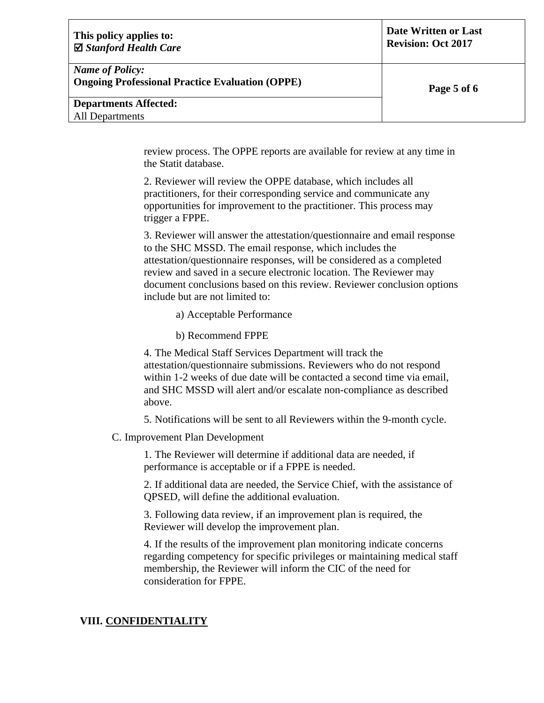| This policy applies to:<br>$\boxtimes$ Stanford Health Care | Date Written or Last<br><b>Revision: Oct 2017</b> |
|-------------------------------------------------------------|---------------------------------------------------|
| <b>Name of Policy:</b>                                      |                                                   |
| <b>Ongoing Professional Practice Evaluation (OPPE)</b>      | Page 5 of 6                                       |
| <b>Departments Affected:</b>                                |                                                   |
| <b>All Departments</b>                                      |                                                   |
|                                                             |                                                   |

review process. The OPPE reports are available for review at any time in the Statit database.

2. Reviewer will review the OPPE database, which includes all practitioners, for their corresponding service and communicate any opportunities for improvement to the practitioner. This process may trigger a FPPE.

3. Reviewer will answer the attestation/questionnaire and email response to the SHC MSSD. The email response, which includes the attestation/questionnaire responses, will be considered as a completed review and saved in a secure electronic location. The Reviewer may document conclusions based on this review. Reviewer conclusion options include but are not limited to:

a) Acceptable Performance

b) Recommend FPPE

4. The Medical Staff Services Department will track the attestation/questionnaire submissions. Reviewers who do not respond within 1-2 weeks of due date will be contacted a second time via email. and SHC MSSD will alert and/or escalate non-compliance as described above.

5. Notifications will be sent to all Reviewers within the 9-month cycle.

C. Improvement Plan Development

1. The Reviewer will determine if additional data are needed, if performance is acceptable or if a FPPE is needed.

2. If additional data are needed, the Service Chief, with the assistance of QPSED, will define the additional evaluation.

3. Following data review, if an improvement plan is required, the Reviewer will develop the improvement plan.

4. If the results of the improvement plan monitoring indicate concerns regarding competency for specific privileges or maintaining medical staff membership, the Reviewer will inform the CIC of the need for consideration for FPPE.

# **VIII. CONFIDENTIALITY**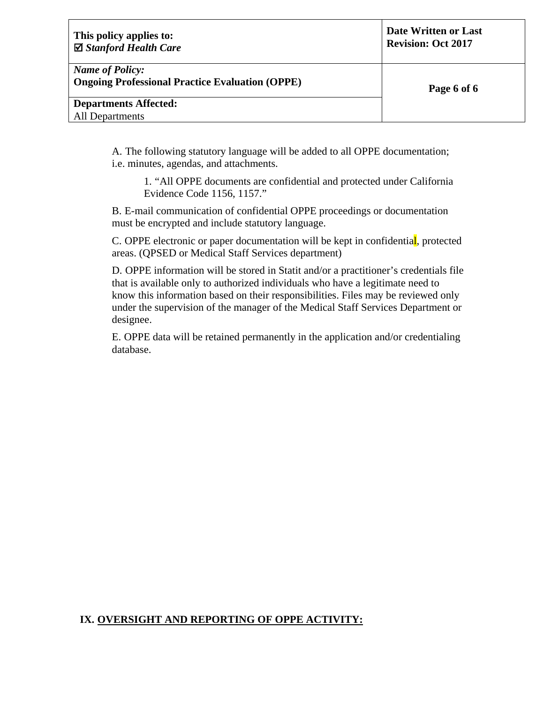| This policy applies to:<br>$\boxtimes$ Stanford Health Care                      | Date Written or Last<br><b>Revision: Oct 2017</b> |
|----------------------------------------------------------------------------------|---------------------------------------------------|
| <b>Name of Policy:</b><br><b>Ongoing Professional Practice Evaluation (OPPE)</b> | Page 6 of 6                                       |
| <b>Departments Affected:</b>                                                     |                                                   |
| <b>All Departments</b>                                                           |                                                   |

A. The following statutory language will be added to all OPPE documentation; i.e. minutes, agendas, and attachments.

1. "All OPPE documents are confidential and protected under California Evidence Code 1156, 1157."

B. E-mail communication of confidential OPPE proceedings or documentation must be encrypted and include statutory language.

C. OPPE electronic or paper documentation will be kept in confidential, protected areas. (QPSED or Medical Staff Services department)

D. OPPE information will be stored in Statit and/or a practitioner's credentials file that is available only to authorized individuals who have a legitimate need to know this information based on their responsibilities. Files may be reviewed only under the supervision of the manager of the Medical Staff Services Department or designee.

E. OPPE data will be retained permanently in the application and/or credentialing database.

## **IX. OVERSIGHT AND REPORTING OF OPPE ACTIVITY:**